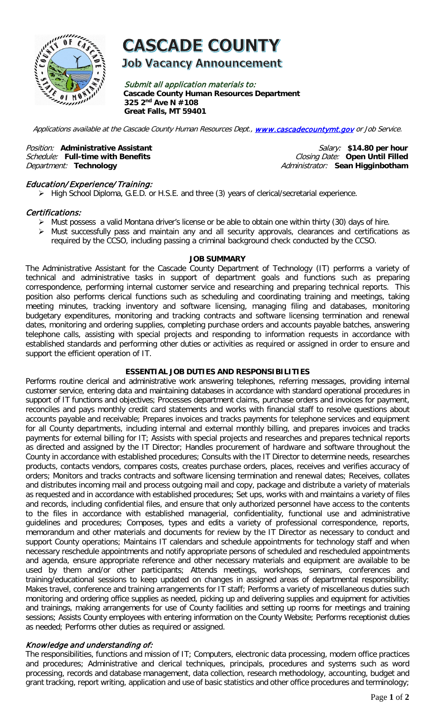

# **CASCADE COUNTY**

**Job Vacancy Announcement** 

Submit all application materials to: **Cascade County Human Resources Department 325 2nd Ave N #108 Great Falls, MT 59401** 

Applications available at the Cascade County Human Resources Dept., [www.cascadecountymt.gov](http://www.cascadecountymt.gov/) or Job Service.

Schedule: Full-time with Benefits<br>Department: Technology

Position: Administrative Assistant **Position: Administrative Assistant** *Salary:* \$14.80 per hour<br>Schedule: Full-time with Benefits *Schedule: Closing Date:* Open Until Filled Department: **Technology** Administrator: **Sean Higginbotham**

# Education/ Experience/ Training:

High School Diploma, G.E.D. or H.S.E. and three (3) years of clerical/secretarial experience.

#### Certifications:

- Must possess a valid Montana driver's license or be able to obtain one within thirty (30) days of hire.
- Must successfully pass and maintain any and all security approvals, clearances and certifications as required by the CCSO, including passing a criminal background check conducted by the CCSO.

#### **JOB SUMMARY**

The Administrative Assistant for the Cascade County Department of Technology (IT) performs a variety of technical and administrative tasks in support of department goals and functions such as preparing correspondence, performing internal customer service and researching and preparing technical reports. This position also performs clerical functions such as scheduling and coordinating training and meetings, taking meeting minutes, tracking inventory and software licensing, managing filing and databases, monitoring budgetary expenditures, monitoring and tracking contracts and software licensing termination and renewal dates, monitoring and ordering supplies, completing purchase orders and accounts payable batches, answering telephone calls, assisting with special projects and responding to information requests in accordance with established standards and performing other duties or activities as required or assigned in order to ensure and support the efficient operation of IT.

#### **ESSENTIAL JOB DUTIES AND RESPONSIBILITIES**

Performs routine clerical and administrative work answering telephones, referring messages, providing internal customer service, entering data and maintaining databases in accordance with standard operational procedures in support of IT functions and objectives; Processes department claims, purchase orders and invoices for payment, reconciles and pays monthly credit card statements and works with financial staff to resolve questions about accounts payable and receivable; Prepares invoices and tracks payments for telephone services and equipment for all County departments, including internal and external monthly billing, and prepares invoices and tracks payments for external billing for IT; Assists with special projects and researches and prepares technical reports as directed and assigned by the IT Director; Handles procurement of hardware and software throughout the County in accordance with established procedures; Consults with the IT Director to determine needs, researches products, contacts vendors, compares costs, creates purchase orders, places, receives and verifies accuracy of orders; Monitors and tracks contracts and software licensing termination and renewal dates; Receives, collates and distributes incoming mail and process outgoing mail and copy, package and distribute a variety of materials as requested and in accordance with established procedures; Set ups, works with and maintains a variety of files and records, including confidential files, and ensure that only authorized personnel have access to the contents to the files in accordance with established managerial, confidentiality, functional use and administrative guidelines and procedures; Composes, types and edits a variety of professional correspondence, reports, memorandum and other materials and documents for review by the IT Director as necessary to conduct and support County operations; Maintains IT calendars and schedule appointments for technology staff and when necessary reschedule appointments and notify appropriate persons of scheduled and rescheduled appointments and agenda, ensure appropriate reference and other necessary materials and equipment are available to be used by them and/or other participants; Attends meetings, workshops, seminars, conferences and training/educational sessions to keep updated on changes in assigned areas of departmental responsibility; Makes travel, conference and training arrangements for IT staff; Performs a variety of miscellaneous duties such monitoring and ordering office supplies as needed, picking up and delivering supplies and equipment for activities and trainings, making arrangements for use of County facilities and setting up rooms for meetings and training sessions; Assists County employees with entering information on the County Website; Performs receptionist duties as needed; Performs other duties as required or assigned.

#### Knowledge and understanding of:

The responsibilities, functions and mission of IT; Computers, electronic data processing, modern office practices and procedures; Administrative and clerical techniques, principals, procedures and systems such as word processing, records and database management, data collection, research methodology, accounting, budget and grant tracking, report writing, application and use of basic statistics and other office procedures and terminology;